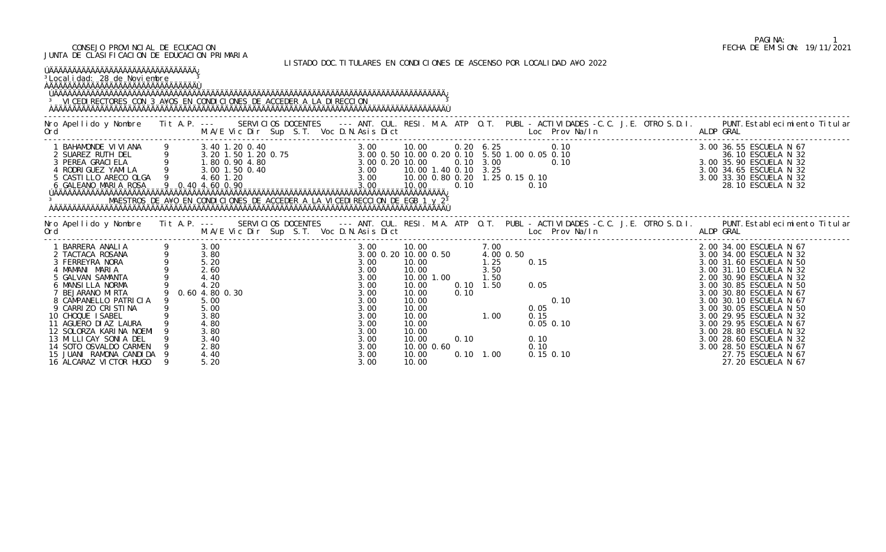## CONSEJO PROVINCIAL DE ECUCACION FECHA DE EMISION: 19/11/2021 JUNTA DE CLASIFICACION DE EDUCACION PRIMARIA

LISTADO DOC.TITULARES EN CONDICIONES DE ASCENSO POR LOCALIDAD A¥O 2022

| <sup>3</sup> Local i dad: 28 de Noviembre<br><sup>3</sup> VI CEDI RECTORES CON 3 A¥OS EN CONDI CI ONES DE ACCEDER A LA DI RECCI ON                                                                                                                                                                                                                                  |                  |                                                                                                                      |  |  |                                                                                                                                                  |                                                                                                                                 |            |              |                                                                                 |                                                                                    |  |           |                                                                                                                                                                                                                                                                                                                                                                                                              |  |
|---------------------------------------------------------------------------------------------------------------------------------------------------------------------------------------------------------------------------------------------------------------------------------------------------------------------------------------------------------------------|------------------|----------------------------------------------------------------------------------------------------------------------|--|--|--------------------------------------------------------------------------------------------------------------------------------------------------|---------------------------------------------------------------------------------------------------------------------------------|------------|--------------|---------------------------------------------------------------------------------|------------------------------------------------------------------------------------|--|-----------|--------------------------------------------------------------------------------------------------------------------------------------------------------------------------------------------------------------------------------------------------------------------------------------------------------------------------------------------------------------------------------------------------------------|--|
| Nro Apellido y Nombre Tit A.P. --- SERVICIOS DOCENTES --- ANT. CUL. RESI. M.A. ATP O.T. PUBL - ACTIVIDADES -C.C. J.E. OTRO S.D.I. PUNT. Establecimiento Titular<br>Ord                                                                                                                                                                                              |                  |                                                                                                                      |  |  |                                                                                                                                                  |                                                                                                                                 |            |              |                                                                                 |                                                                                    |  |           |                                                                                                                                                                                                                                                                                                                                                                                                              |  |
| 1 BAHAMONDE VIVIANA 9 3.40 1.20 0.40<br>2 SUAREZ RUTH DEL 9 3.20 1.50 1.20 0.75 3.00 0.50 10.00 0.20 0.10 5.50 1.00 0.05 0.10<br>3 PEREA GRACIELA 9 3.60 0.90 4.80 3.00 0.20 10.00 0.20 1.0 3.00 0.10 5.50 1.00 0.05 0.10<br>4 RODRI                                                                                                                                |                  |                                                                                                                      |  |  |                                                                                                                                                  |                                                                                                                                 |            |              |                                                                                 |                                                                                    |  |           | 3.00 36.55 ESCUELA N 67<br>36.10 ESCUELA N 32<br>3.00 35.90 ESCUELA N 32<br>3.00 34.65 ESCUELA N 32<br>3.00 33.30 ESCUELA N 32<br>28.10 ESCUELA N 32                                                                                                                                                                                                                                                         |  |
| Nro Apellido y Nombre Tit A.P. --- SERVICIOS DOCENTES --- ANT. CUL. RESI. M.A. ATP O.T. PUBL - ACTIVIDADES -C.C. J.E. OTRO S.D.I. PUNT. Establecimiento Titular<br>Ord                                                                                                                                                                                              |                  |                                                                                                                      |  |  |                                                                                                                                                  |                                                                                                                                 |            |              |                                                                                 |                                                                                    |  | ALDP GRAL |                                                                                                                                                                                                                                                                                                                                                                                                              |  |
| BARRERA ANALIA<br>2 TACTACA ROSANA<br>3 FERREYRA NORA<br>4 MAMANI MARIA<br>5 GALVAN SAMANTA<br>6 MANSILLA NORMA<br>BEJARANO MIRTA<br>8 CAMPANELLO PATRICIA<br>9 CARRIZO CRISTINA<br>10 CHOQUE I SABEL<br>11 AGUERO DI AZ LAURA<br>12 SOLORZA KARINA NOEMI<br>13 MILLICAY SONIA DEL<br>14 SOTO OSVALDO CARMEN<br>15 JUANI RAMONA CANDIDA<br>16 ALCARAZ VICTOR HUGO 9 | 9 0.60 4.80 0.30 | 3.00<br>3.80<br>5.20<br>2.60<br>4.40<br>4.20<br>5.00<br>5.00<br>3.80<br>4.80<br>3.80<br>3.40<br>2.80<br>4.40<br>5.20 |  |  | 3.00<br>3.00 0.20 10.00 0.50<br>3.00<br>3.00<br>3.00<br>$3.00$<br>$3.00$<br>3.00<br>3.00<br>3.00<br>3.00<br>3.00<br>3.00<br>3.00<br>3.00<br>3.00 | 10.00<br>10.00<br>10.00<br>10.00<br>10.00<br>10.00<br>10.00<br>10.00<br>10.00<br>10.00<br>10.00<br>10.00 0.60<br>10.00<br>10.00 | 10.00 1.00 | 0.10<br>0.10 | 7.00<br>4.00 0.50<br>1.25<br>3.50<br>1.50<br>$0.10$ 1.50<br>1.00<br>$0.10$ 1.00 | 0.15<br>0.05<br>0.10<br>0.05<br>0.15<br>$0.05$ 0.10<br>0.10<br>0.10<br>$0.15$ 0.10 |  |           | 2.00 34.00 ESCUELA N 67<br>3.00 34.00 ESCUELA N 32<br>3.00 31.60 ESCUELA N 50<br>3.00 31.10 ESCUELA N 32<br>2.00 30.90 ESCUELA N 32<br>3.00 30.85 ESCUELA N 50<br>3.00 30.80 ESCUELA N 67<br>3.00 30.10 ESCUELA N 67<br>3.00 30.05 ESCUELA N 50<br>3.00 29.95 ESCUELA N 32<br>3.00 29.95 ESCUELA N 67<br>3.00 28.80 ESCUELA N 32<br>3.00 28.60 ESCUELA N 32<br>3.00 28.50 ESCUELA N 67<br>27.75 ESCUELA N 67 |  |

## PAGINA: 1<br>FECHA DE EMISION: 19/11/2021